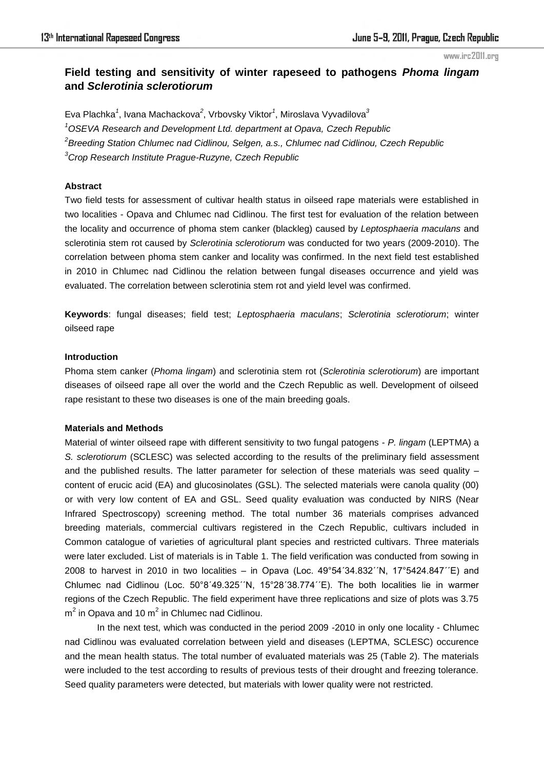# **Field testing and sensitivity of winter rapeseed to pathogens** *Phoma lingam* **and** *Sclerotinia sclerotiorum*

Eva Plachka*<sup>1</sup>* , Ivana Machackova*<sup>2</sup>* , Vrbovsky Viktor*<sup>1</sup>* , Miroslava Vyvadilova*<sup>3</sup> OSEVA Research and Development Ltd. department at Opava, Czech Republic Breeding Station Chlumec nad Cidlinou, Selgen, a.s., Chlumec nad Cidlinou, Czech Republic Crop Research Institute Prague-Ruzyne, Czech Republic* 

## **Abstract**

Two field tests for assessment of cultivar health status in oilseed rape materials were established in two localities - Opava and Chlumec nad Cidlinou. The first test for evaluation of the relation between the locality and occurrence of phoma stem canker (blackleg) caused by *Leptosphaeria maculans* and sclerotinia stem rot caused by *Sclerotinia sclerotiorum* was conducted for two years (2009-2010). The correlation between phoma stem canker and locality was confirmed. In the next field test established in 2010 in Chlumec nad Cidlinou the relation between fungal diseases occurrence and yield was evaluated. The correlation between sclerotinia stem rot and yield level was confirmed.

**Keywords**: fungal diseases; field test; *Leptosphaeria maculans*; *Sclerotinia sclerotiorum*; winter oilseed rape

## **Introduction**

Phoma stem canker (*Phoma lingam*) and sclerotinia stem rot (*Sclerotinia sclerotiorum*) are important diseases of oilseed rape all over the world and the Czech Republic as well. Development of oilseed rape resistant to these two diseases is one of the main breeding goals.

## **Materials and Methods**

Material of winter oilseed rape with different sensitivity to two fungal patogens - *P. lingam* (LEPTMA) a *S. sclerotiorum* (SCLESC) was selected according to the results of the preliminary field assessment and the published results. The latter parameter for selection of these materials was seed quality – content of erucic acid (EA) and glucosinolates (GSL). The selected materials were canola quality (00) or with very low content of EA and GSL. Seed quality evaluation was conducted by NIRS (Near Infrared Spectroscopy) screening method. The total number 36 materials comprises advanced breeding materials, commercial cultivars registered in the Czech Republic, cultivars included in Common catalogue of varieties of agricultural plant species and restricted cultivars. Three materials were later excluded. List of materials is in Table 1. The field verification was conducted from sowing in 2008 to harvest in 2010 in two localities – in Opava (Loc. 49°54´34.832´´N, 17°5424.847´´E) and Chlumec nad Cidlinou (Loc. 50°8´49.325´´N, 15°28´38.774´´E). The both localities lie in warmer regions of the Czech Republic. The field experiment have three replications and size of plots was 3.75  $m^2$  in Opava and 10  $m^2$  in Chlumec nad Cidlinou.

In the next test, which was conducted in the period 2009 -2010 in only one locality - Chlumec nad Cidlinou was evaluated correlation between yield and diseases (LEPTMA, SCLESC) occurence and the mean health status. The total number of evaluated materials was 25 (Table 2). The materials were included to the test according to results of previous tests of their drought and freezing tolerance. Seed quality parameters were detected, but materials with lower quality were not restricted.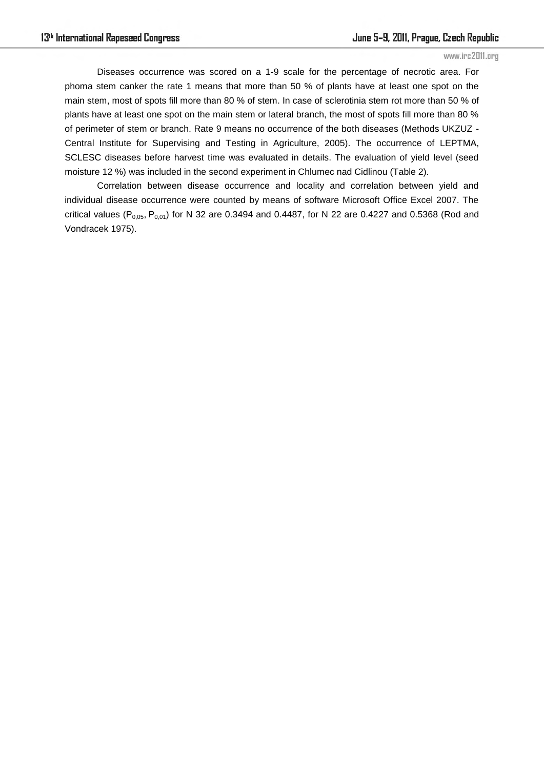Diseases occurrence was scored on a 1-9 scale for the percentage of necrotic area. For phoma stem canker the rate 1 means that more than 50 % of plants have at least one spot on the main stem, most of spots fill more than 80 % of stem. In case of sclerotinia stem rot more than 50 % of plants have at least one spot on the main stem or lateral branch, the most of spots fill more than 80 % of perimeter of stem or branch. Rate 9 means no occurrence of the both diseases (Methods UKZUZ - Central Institute for Supervising and Testing in Agriculture, 2005). The occurrence of LEPTMA, SCLESC diseases before harvest time was evaluated in details. The evaluation of yield level (seed moisture 12 %) was included in the second experiment in Chlumec nad Cidlinou (Table 2).

Correlation between disease occurrence and locality and correlation between yield and individual disease occurrence were counted by means of software Microsoft Office Excel 2007. The critical values ( $P_{0.05}$ ,  $P_{0.01}$ ) for N 32 are 0.3494 and 0.4487, for N 22 are 0.4227 and 0.5368 (Rod and Vondracek 1975).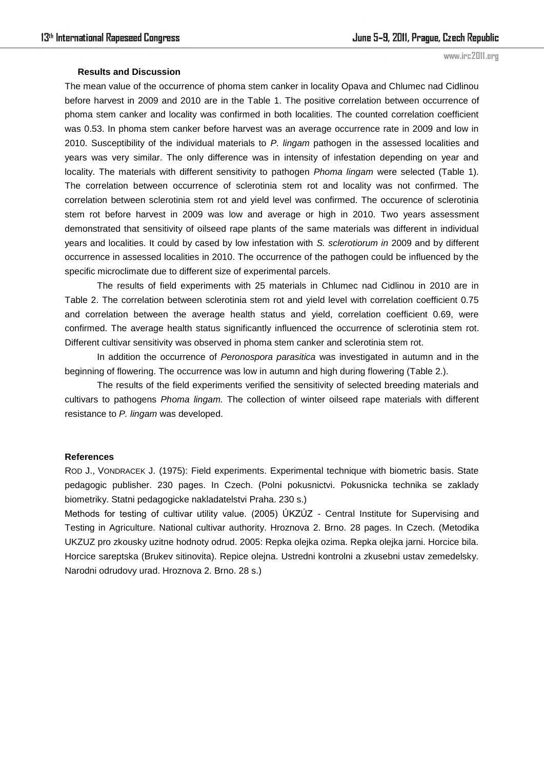#### **Results and Discussion**

The mean value of the occurrence of phoma stem canker in locality Opava and Chlumec nad Cidlinou before harvest in 2009 and 2010 are in the Table 1. The positive correlation between occurrence of phoma stem canker and locality was confirmed in both localities. The counted correlation coefficient was 0.53. In phoma stem canker before harvest was an average occurrence rate in 2009 and low in 2010. Susceptibility of the individual materials to *P. lingam* pathogen in the assessed localities and years was very similar. The only difference was in intensity of infestation depending on year and locality. The materials with different sensitivity to pathogen *Phoma lingam* were selected (Table 1)*.*  The correlation between occurrence of sclerotinia stem rot and locality was not confirmed. The correlation between sclerotinia stem rot and yield level was confirmed. The occurence of sclerotinia stem rot before harvest in 2009 was low and average or high in 2010. Two years assessment demonstrated that sensitivity of oilseed rape plants of the same materials was different in individual years and localities. It could by cased by low infestation with *S. sclerotiorum in* 2009 and by different occurrence in assessed localities in 2010. The occurrence of the pathogen could be influenced by the specific microclimate due to different size of experimental parcels.

The results of field experiments with 25 materials in Chlumec nad Cidlinou in 2010 are in Table 2. The correlation between sclerotinia stem rot and yield level with correlation coefficient 0.75 and correlation between the average health status and yield, correlation coefficient 0.69, were confirmed. The average health status significantly influenced the occurrence of sclerotinia stem rot. Different cultivar sensitivity was observed in phoma stem canker and sclerotinia stem rot.

 In addition the occurrence of *Peronospora parasitica* was investigated in autumn and in the beginning of flowering. The occurrence was low in autumn and high during flowering (Table 2.).

 The results of the field experiments verified the sensitivity of selected breeding materials and cultivars to pathogens *Phoma lingam.* The collection of winter oilseed rape materials with different resistance to *P. lingam* was developed.

#### **References**

ROD J., VONDRACEK J. (1975): Field experiments. Experimental technique with biometric basis. State pedagogic publisher. 230 pages. In Czech. (Polni pokusnictvi. Pokusnicka technika se zaklady biometriky. Statni pedagogicke nakladatelstvi Praha. 230 s.)

Methods for testing of cultivar utility value. (2005) ÚKZÚZ - Central Institute for Supervising and Testing in Agriculture. National cultivar authority. Hroznova 2. Brno. 28 pages. In Czech. (Metodika UKZUZ pro zkousky uzitne hodnoty odrud. 2005: Repka olejka ozima. Repka olejka jarni. Horcice bila. Horcice sareptska (Brukev sitinovita). Repice olejna. Ustredni kontrolni a zkusebni ustav zemedelsky. Narodni odrudovy urad. Hroznova 2. Brno. 28 s.)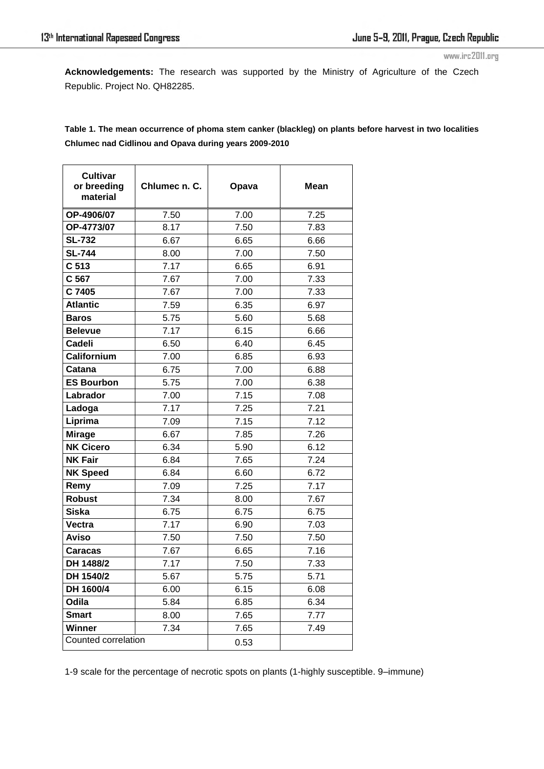**Acknowledgements:** The research was supported by the Ministry of Agriculture of the Czech Republic. Project No. QH82285.

**Table 1. The mean occurrence of phoma stem canker (blackleg) on plants before harvest in two localities Chlumec nad Cidlinou and Opava during years 2009-2010** 

| <b>Cultivar</b><br>or breeding<br>material | Chlumec n. C. | Opava        | Mean |  |
|--------------------------------------------|---------------|--------------|------|--|
| OP-4906/07                                 | 7.50          | 7.00         | 7.25 |  |
| OP-4773/07                                 | 8.17          | 7.50         | 7.83 |  |
| <b>SL-732</b>                              | 6.67          | 6.65         | 6.66 |  |
| <b>SL-744</b>                              | 8.00          | 7.00         | 7.50 |  |
| C 513                                      | 7.17          | 6.65         | 6.91 |  |
| C 567                                      | 7.67          | 7.00         | 7.33 |  |
| C 7405                                     | 7.67          | 7.00         | 7.33 |  |
| <b>Atlantic</b>                            | 7.59          | 6.35         | 6.97 |  |
| <b>Baros</b>                               | 5.75          | 5.60         | 5.68 |  |
| <b>Belevue</b>                             | 7.17          | 6.15         | 6.66 |  |
| <b>Cadeli</b>                              | 6.50          | 6.40         | 6.45 |  |
| Californium                                | 7.00          | 6.85         | 6.93 |  |
| Catana                                     | 6.75          | 7.00         | 6.88 |  |
| <b>ES Bourbon</b>                          | 5.75          | 7.00         | 6.38 |  |
| Labrador                                   | 7.00          | 7.15         | 7.08 |  |
| Ladoga                                     | 7.17          | 7.25         | 7.21 |  |
| Liprima                                    | 7.09          | 7.15         | 7.12 |  |
| <b>Mirage</b>                              | 6.67          | 7.85         | 7.26 |  |
| <b>NK Cicero</b>                           | 6.34          | 5.90         | 6.12 |  |
| <b>NK Fair</b>                             | 6.84          | 7.65         | 7.24 |  |
| <b>NK Speed</b>                            | 6.84          | 6.60         | 6.72 |  |
| Remy                                       | 7.09          | 7.25         | 7.17 |  |
| <b>Robust</b>                              | 7.34          | 8.00         | 7.67 |  |
| Siska                                      | 6.75          | 6.75         | 6.75 |  |
| Vectra                                     | 7.17          | 6.90         | 7.03 |  |
| Aviso                                      | 7.50          | 7.50         | 7.50 |  |
| Caracas                                    | 7.67          | 6.65         | 7.16 |  |
| DH 1488/2                                  | 7.17          | 7.50         | 7.33 |  |
| DH 1540/2                                  | 5.67          | 5.75<br>5.71 |      |  |
| DH 1600/4                                  | 6.00          | 6.15         | 6.08 |  |
| Odila                                      | 5.84          | 6.85         | 6.34 |  |
| <b>Smart</b>                               | 8.00          | 7.65         | 7.77 |  |
| Winner                                     | 7.34          | 7.65         | 7.49 |  |
| Counted correlation                        |               | 0.53         |      |  |

1-9 scale for the percentage of necrotic spots on plants (1-highly susceptible. 9–immune)